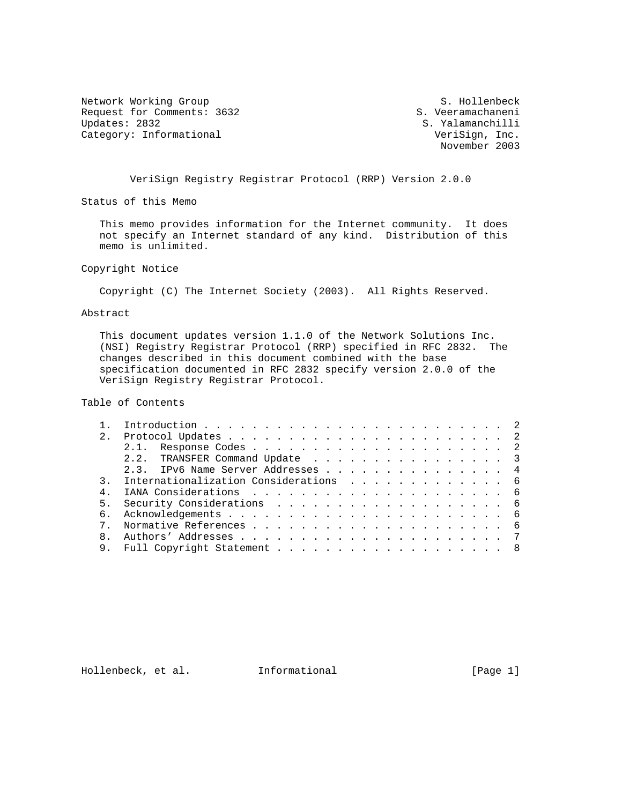Network Working Group and S. Hollenbeck<br>Request for Comments: 3632 S. Veeramachaneni Request for Comments: 3632<br>Updates: 2832 Category: Informational

S. Yalamanchilli<br>VeriSign, Inc. November 2003

VeriSign Registry Registrar Protocol (RRP) Version 2.0.0

Status of this Memo

 This memo provides information for the Internet community. It does not specify an Internet standard of any kind. Distribution of this memo is unlimited.

Copyright Notice

Copyright (C) The Internet Society (2003). All Rights Reserved.

### Abstract

 This document updates version 1.1.0 of the Network Solutions Inc. (NSI) Registry Registrar Protocol (RRP) specified in RFC 2832. The changes described in this document combined with the base specification documented in RFC 2832 specify version 2.0.0 of the VeriSign Registry Registrar Protocol.

Table of Contents

| 2. |                                       |  |
|----|---------------------------------------|--|
|    |                                       |  |
|    | 2.2. TRANSFER Command Update 3        |  |
|    | 2.3. IPv6 Name Server Addresses 4     |  |
|    | Internationalization Considerations 6 |  |
|    |                                       |  |
|    |                                       |  |
| რ. |                                       |  |
|    |                                       |  |
|    |                                       |  |
|    | 9. Full Copyright Statement 8         |  |

Hollenbeck, et al. Informational [Page 1]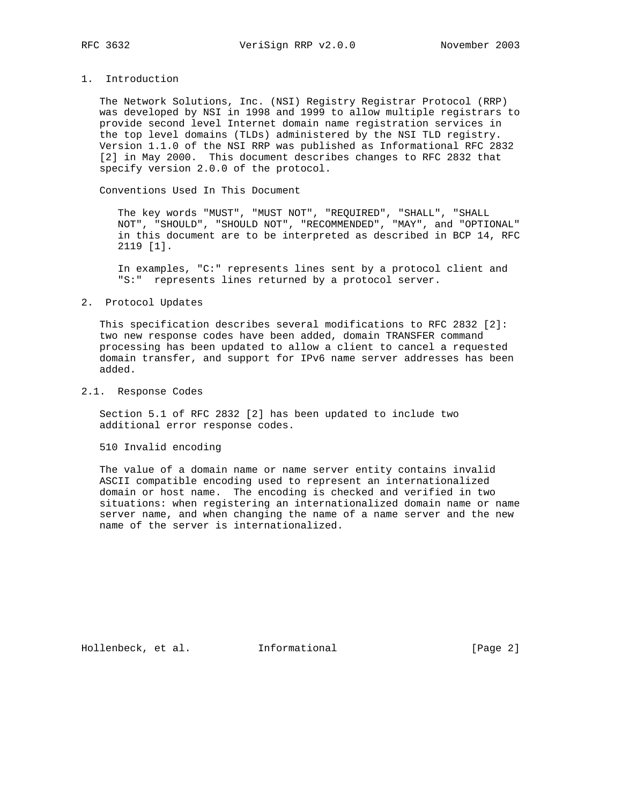# 1. Introduction

 The Network Solutions, Inc. (NSI) Registry Registrar Protocol (RRP) was developed by NSI in 1998 and 1999 to allow multiple registrars to provide second level Internet domain name registration services in the top level domains (TLDs) administered by the NSI TLD registry. Version 1.1.0 of the NSI RRP was published as Informational RFC 2832 [2] in May 2000. This document describes changes to RFC 2832 that specify version 2.0.0 of the protocol.

Conventions Used In This Document

 The key words "MUST", "MUST NOT", "REQUIRED", "SHALL", "SHALL NOT", "SHOULD", "SHOULD NOT", "RECOMMENDED", "MAY", and "OPTIONAL" in this document are to be interpreted as described in BCP 14, RFC 2119 [1].

 In examples, "C:" represents lines sent by a protocol client and "S:" represents lines returned by a protocol server.

#### 2. Protocol Updates

 This specification describes several modifications to RFC 2832 [2]: two new response codes have been added, domain TRANSFER command processing has been updated to allow a client to cancel a requested domain transfer, and support for IPv6 name server addresses has been added.

### 2.1. Response Codes

 Section 5.1 of RFC 2832 [2] has been updated to include two additional error response codes.

510 Invalid encoding

 The value of a domain name or name server entity contains invalid ASCII compatible encoding used to represent an internationalized domain or host name. The encoding is checked and verified in two situations: when registering an internationalized domain name or name server name, and when changing the name of a name server and the new name of the server is internationalized.

Hollenbeck, et al. Informational [Page 2]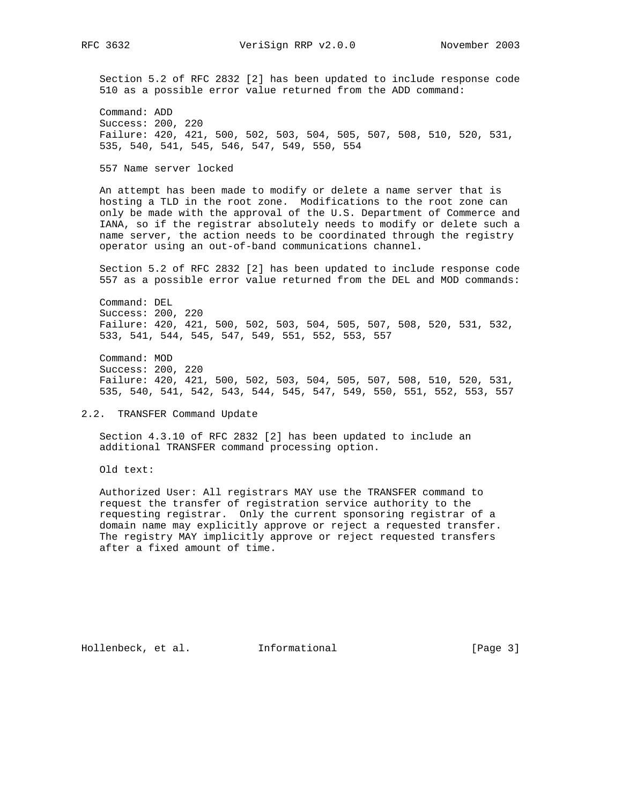Section 5.2 of RFC 2832 [2] has been updated to include response code 510 as a possible error value returned from the ADD command:

 Command: ADD Success: 200, 220 Failure: 420, 421, 500, 502, 503, 504, 505, 507, 508, 510, 520, 531, 535, 540, 541, 545, 546, 547, 549, 550, 554

557 Name server locked

 An attempt has been made to modify or delete a name server that is hosting a TLD in the root zone. Modifications to the root zone can only be made with the approval of the U.S. Department of Commerce and IANA, so if the registrar absolutely needs to modify or delete such a name server, the action needs to be coordinated through the registry operator using an out-of-band communications channel.

 Section 5.2 of RFC 2832 [2] has been updated to include response code 557 as a possible error value returned from the DEL and MOD commands:

 Command: DEL Success: 200, 220 Failure: 420, 421, 500, 502, 503, 504, 505, 507, 508, 520, 531, 532, 533, 541, 544, 545, 547, 549, 551, 552, 553, 557

 Command: MOD Success: 200, 220 Failure: 420, 421, 500, 502, 503, 504, 505, 507, 508, 510, 520, 531, 535, 540, 541, 542, 543, 544, 545, 547, 549, 550, 551, 552, 553, 557

2.2. TRANSFER Command Update

 Section 4.3.10 of RFC 2832 [2] has been updated to include an additional TRANSFER command processing option.

Old text:

 Authorized User: All registrars MAY use the TRANSFER command to request the transfer of registration service authority to the requesting registrar. Only the current sponsoring registrar of a domain name may explicitly approve or reject a requested transfer. The registry MAY implicitly approve or reject requested transfers after a fixed amount of time.

Hollenbeck, et al. 1nformational 1999 [Page 3]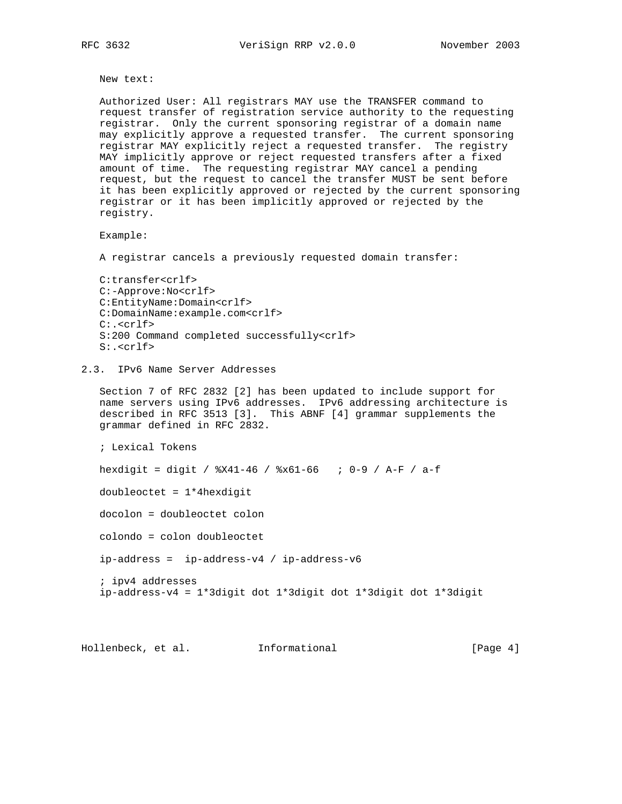New text:

 Authorized User: All registrars MAY use the TRANSFER command to request transfer of registration service authority to the requesting registrar. Only the current sponsoring registrar of a domain name may explicitly approve a requested transfer. The current sponsoring registrar MAY explicitly reject a requested transfer. The registry MAY implicitly approve or reject requested transfers after a fixed amount of time. The requesting registrar MAY cancel a pending request, but the request to cancel the transfer MUST be sent before it has been explicitly approved or rejected by the current sponsoring registrar or it has been implicitly approved or rejected by the registry.

Example:

A registrar cancels a previously requested domain transfer:

```
 C:transfer<crlf>
C:-Approve:No<crlf>
C:EntityName:Domain<crlf>
C:DomainName:example.com<crlf>
C:.<crlf>
S:200 Command completed successfully<crlf>
S:.<crlf>
```
# 2.3. IPv6 Name Server Addresses

 Section 7 of RFC 2832 [2] has been updated to include support for name servers using IPv6 addresses. IPv6 addressing architecture is described in RFC 3513 [3]. This ABNF [4] grammar supplements the grammar defined in RFC 2832.

; Lexical Tokens

hexdigit = digit / %X41-46 / %x61-66 ; 0-9 / A-F / a-f

doubleoctet = 1\*4hexdigit

docolon = doubleoctet colon

colondo = colon doubleoctet

ip-address = ip-address-v4 / ip-address-v6

 ; ipv4 addresses ip-address-v4 = 1\*3digit dot 1\*3digit dot 1\*3digit dot 1\*3digit

Hollenbeck, et al. Informational [Page 4]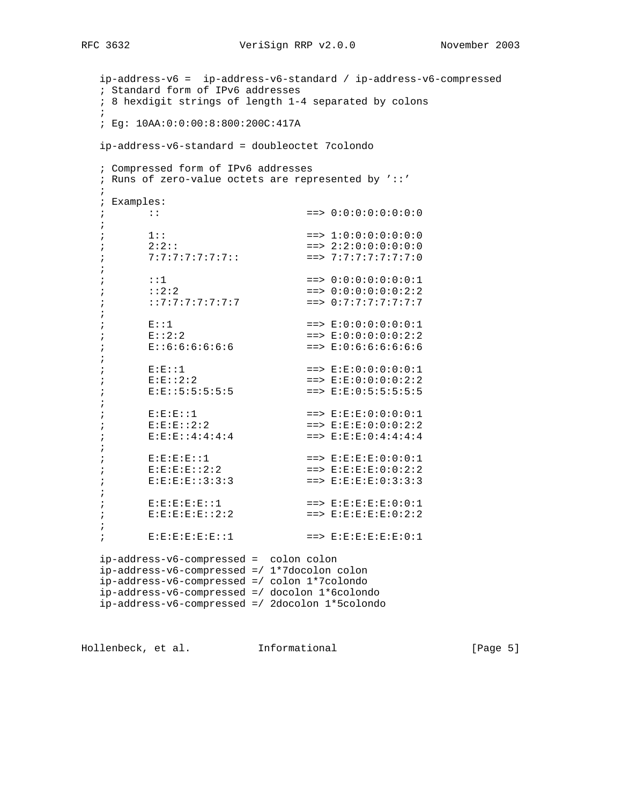ip-address-v6 = ip-address-v6-standard / ip-address-v6-compressed ; Standard form of IPv6 addresses ; 8 hexdigit strings of length 1-4 separated by colons  $\mathcal{L}$  ; Eg: 10AA:0:0:00:8:800:200C:417A ip-address-v6-standard = doubleoctet 7colondo ; Compressed form of IPv6 addresses ; Runs of zero-value octets are represented by '::'  $\mathcal{L}$  ; Examples: ; :: ==> 0:0:0:0:0:0:0:0 ; ;  $1:$   $1:$   $=$ >  $1:0:0:0:0:0:0:0:0$ ;  $2:2:$ :  $2:2:$   $== > 2:2:0:0:0:0:0:0:0$ ; 7:7:7:7:7:7:7:7:: ==> 7:7:7:7:7:7:7:0 ; ; ::1 ==> 0:0:0:0:0:0:0:1 ;  $:2:2$   $:2:2$   $=> 0:0:0:0:0:0:2:2$  ; ::7:7:7:7:7:7:7 ==> 0:7:7:7:7:7:7:7 ; ;  $E:1$  ==>  $E:0:0:0:0:0:0:1$ ;  $E:2:2$   $=$   $>$   $E:0:0:0:0:0:2:2$ ; E::6:6:6:6:6:6:6 ==> E:0:6:6:6:6:6:6 ; ; E:E::1 ==> E:E:0:0:0:0:0:1 ;  $E: E: 2:2$   $= > E: E: 0: 0: 0: 0: 2: 2$ ; E:E::5:5:5:5:5 ==> E:E:0:5:5:5:5:5 ; ; E:E:E::1 ==> E:E:E:0:0:0:0:1 ; E:E:E::2:2 ==> E:E:E:0:0:0:2:2 ; E:E:E::4:4:4:4 ==> E:E:E:0:4:4:4:4 ; ; E:E:E:E::1 ==> E:E:E:E:0:0:0:1 ; E:E:E:E::2:2 ==> E:E:E:E:0:0:2:2 ; E:E:E:E::3:3:3 ==> E:E:E:E:0:3:3:3 ; ; E:E:E:E:E::1 ==> E:E:E:E:E:0:0:1 ; E:E:E:E:E::2:2 ==> E:E:E:E:E:0:2:2 ; ; E:E:E:E:E:E::1 ==> E:E:E:E:E:E:0:1 ip-address-v6-compressed = colon colon ip-address-v6-compressed =/ 1\*7docolon colon ip-address-v6-compressed =/ colon 1\*7colondo ip-address-v6-compressed =/ docolon 1\*6colondo ip-address-v6-compressed =/ 2docolon 1\*5colondo

Hollenbeck, et al. Informational [Page 5]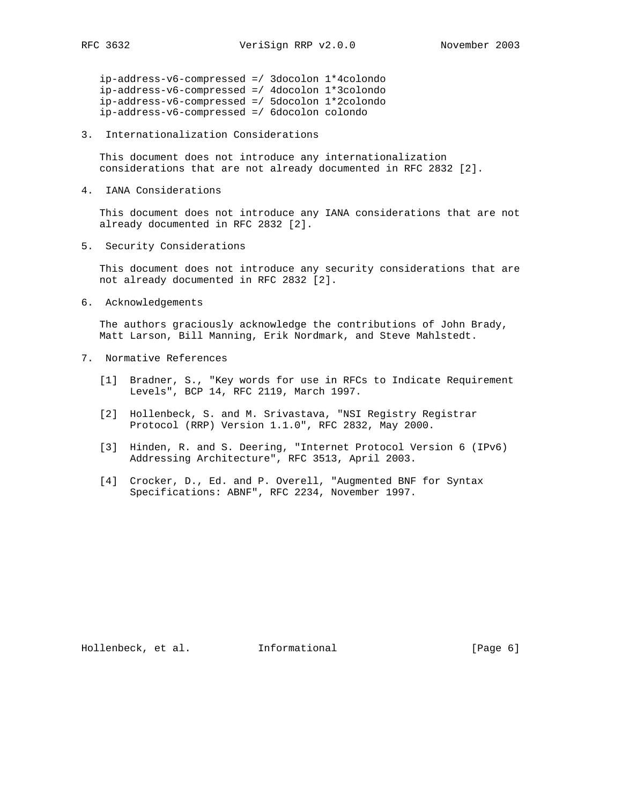ip-address-v6-compressed =/ 3docolon 1\*4colondo ip-address-v6-compressed =/ 4docolon 1\*3colondo ip-address-v6-compressed =/ 5docolon 1\*2colondo ip-address-v6-compressed =/ 6docolon colondo

3. Internationalization Considerations

 This document does not introduce any internationalization considerations that are not already documented in RFC 2832 [2].

4. IANA Considerations

 This document does not introduce any IANA considerations that are not already documented in RFC 2832 [2].

5. Security Considerations

 This document does not introduce any security considerations that are not already documented in RFC 2832 [2].

6. Acknowledgements

 The authors graciously acknowledge the contributions of John Brady, Matt Larson, Bill Manning, Erik Nordmark, and Steve Mahlstedt.

- 7. Normative References
	- [1] Bradner, S., "Key words for use in RFCs to Indicate Requirement Levels", BCP 14, RFC 2119, March 1997.
	- [2] Hollenbeck, S. and M. Srivastava, "NSI Registry Registrar Protocol (RRP) Version 1.1.0", RFC 2832, May 2000.
	- [3] Hinden, R. and S. Deering, "Internet Protocol Version 6 (IPv6) Addressing Architecture", RFC 3513, April 2003.
	- [4] Crocker, D., Ed. and P. Overell, "Augmented BNF for Syntax Specifications: ABNF", RFC 2234, November 1997.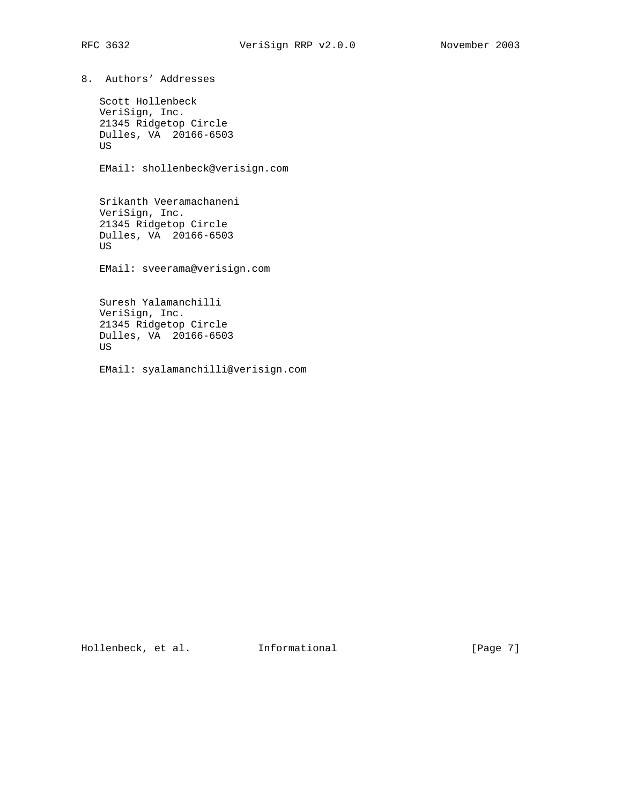8. Authors' Addresses

 Scott Hollenbeck VeriSign, Inc. 21345 Ridgetop Circle Dulles, VA 20166-6503 US

EMail: shollenbeck@verisign.com

 Srikanth Veeramachaneni VeriSign, Inc. 21345 Ridgetop Circle Dulles, VA 20166-6503 US

EMail: sveerama@verisign.com

 Suresh Yalamanchilli VeriSign, Inc. 21345 Ridgetop Circle Dulles, VA 20166-6503 US

EMail: syalamanchilli@verisign.com

Hollenbeck, et al. 1nformational [Page 7]